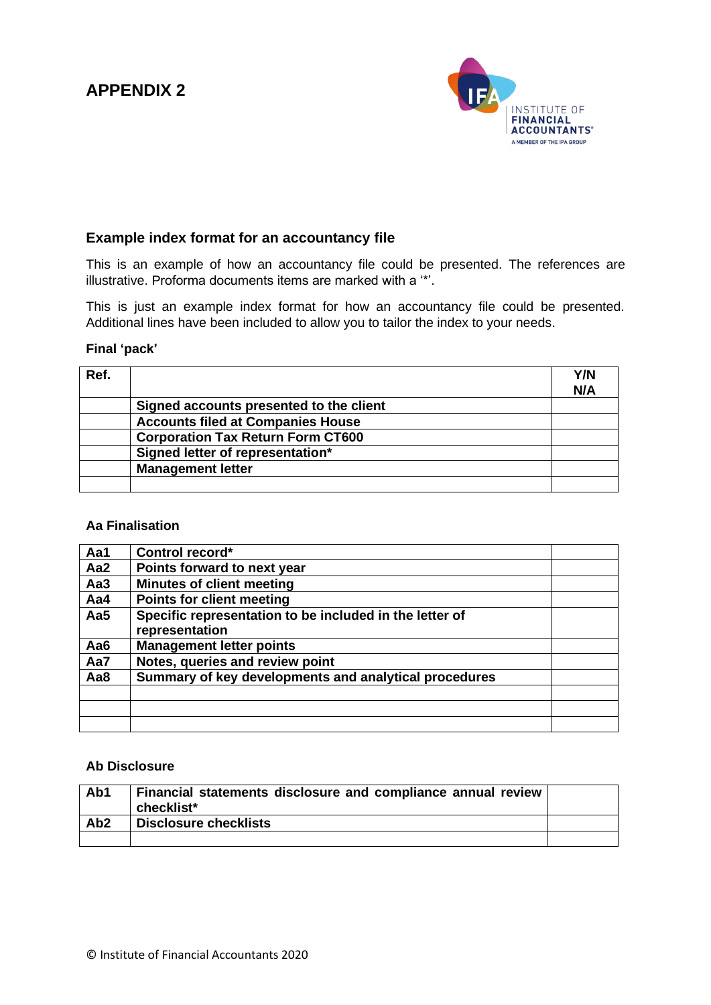# **APPENDIX 2**



### **Example index format for an accountancy file**

This is an example of how an accountancy file could be presented. The references are illustrative. Proforma documents items are marked with a '\*'.

This is just an example index format for how an accountancy file could be presented. Additional lines have been included to allow you to tailor the index to your needs.

#### **Final 'pack'**

| Ref. |                                          | Y/N<br>N/A |
|------|------------------------------------------|------------|
|      | Signed accounts presented to the client  |            |
|      | <b>Accounts filed at Companies House</b> |            |
|      | <b>Corporation Tax Return Form CT600</b> |            |
|      | Signed letter of representation*         |            |
|      | <b>Management letter</b>                 |            |
|      |                                          |            |

#### **Aa Finalisation**

| Aa1             | Control record*                                         |  |
|-----------------|---------------------------------------------------------|--|
| Aa2             | Points forward to next year                             |  |
| Aa <sub>3</sub> | <b>Minutes of client meeting</b>                        |  |
| Aa4             | <b>Points for client meeting</b>                        |  |
| Aa5             | Specific representation to be included in the letter of |  |
|                 | representation                                          |  |
| Aa6             | <b>Management letter points</b>                         |  |
| Aa7             | Notes, queries and review point                         |  |
| Aa8             | Summary of key developments and analytical procedures   |  |
|                 |                                                         |  |
|                 |                                                         |  |
|                 |                                                         |  |

### **Ab Disclosure**

| Ab1             | Financial statements disclosure and compliance annual review<br>checklist* |  |
|-----------------|----------------------------------------------------------------------------|--|
| Ab <sub>2</sub> | <b>Disclosure checklists</b>                                               |  |
|                 |                                                                            |  |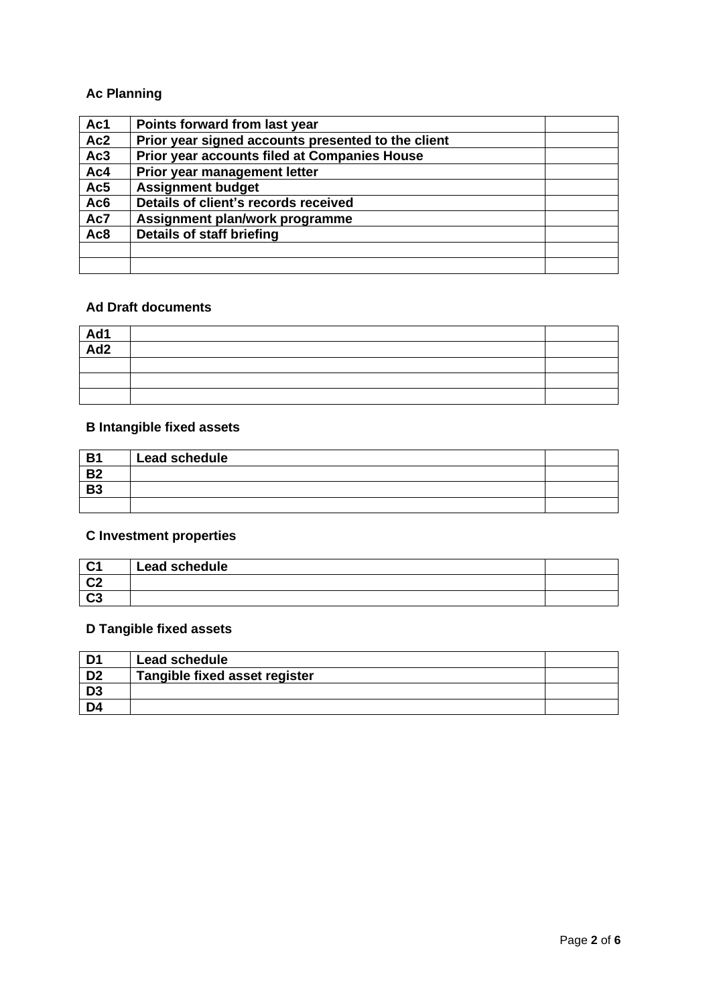## **Ac Planning**

| Ac1 | Points forward from last year                      |  |
|-----|----------------------------------------------------|--|
| Ac2 | Prior year signed accounts presented to the client |  |
| Ac3 | Prior year accounts filed at Companies House       |  |
| Ac4 | Prior year management letter                       |  |
| Ac5 | <b>Assignment budget</b>                           |  |
| Ac6 | Details of client's records received               |  |
| Ac7 | Assignment plan/work programme                     |  |
| Ac8 | Details of staff briefing                          |  |
|     |                                                    |  |
|     |                                                    |  |

### **Ad Draft documents**

| $\frac{\overline{Ad1}}{\overline{Ad2}}$ |  |
|-----------------------------------------|--|
|                                         |  |
|                                         |  |
|                                         |  |
|                                         |  |

# **B Intangible fixed assets**

| <b>B1</b> | <b>Lead schedule</b> |  |
|-----------|----------------------|--|
| <b>B2</b> |                      |  |
| <b>B3</b> |                      |  |
|           |                      |  |

## **C Investment properties**

| $\mathbf{A}$   | Lead schedule |  |
|----------------|---------------|--|
| C <sub>2</sub> |               |  |
| C <sub>3</sub> |               |  |

# **D Tangible fixed assets**

| D <sub>1</sub> | <b>Lead schedule</b>          |  |
|----------------|-------------------------------|--|
| D <sub>2</sub> | Tangible fixed asset register |  |
| D <sub>3</sub> |                               |  |
| D <sub>4</sub> |                               |  |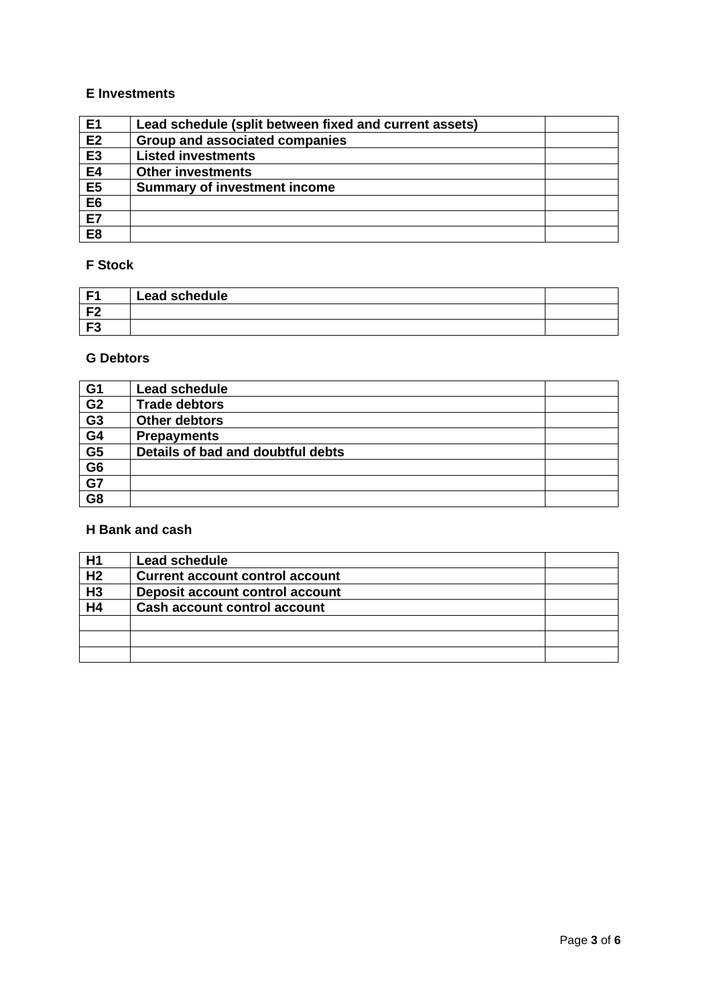#### **E Investments**

| E <sub>1</sub> | Lead schedule (split between fixed and current assets) |  |
|----------------|--------------------------------------------------------|--|
| E2             | Group and associated companies                         |  |
| E <sub>3</sub> | <b>Listed investments</b>                              |  |
| <b>E4</b>      | <b>Other investments</b>                               |  |
| E5             | <b>Summary of investment income</b>                    |  |
| E <sub>6</sub> |                                                        |  |
| E7             |                                                        |  |
| E <sub>8</sub> |                                                        |  |

### **F Stock**

| – ⊏′                | Lead schedule |  |
|---------------------|---------------|--|
| L EQ                |               |  |
| $E^{\bullet}$<br>гэ |               |  |

#### **G Debtors**

| G <sub>1</sub>           | Lead schedule                     |  |
|--------------------------|-----------------------------------|--|
| G <sub>2</sub>           | <b>Trade debtors</b>              |  |
| $\overline{G}3$          | Other debtors                     |  |
| $\overline{G4}$          | <b>Prepayments</b>                |  |
| $\overline{\mathsf{G}5}$ | Details of bad and doubtful debts |  |
| $rac{G6}{G7}$            |                                   |  |
|                          |                                   |  |
| $\overline{G8}$          |                                   |  |

## **H Bank and cash**

| H1             | Lead schedule                          |  |
|----------------|----------------------------------------|--|
| H <sub>2</sub> | <b>Current account control account</b> |  |
| $\overline{H}$ | Deposit account control account        |  |
| H4             | Cash account control account           |  |
|                |                                        |  |
|                |                                        |  |
|                |                                        |  |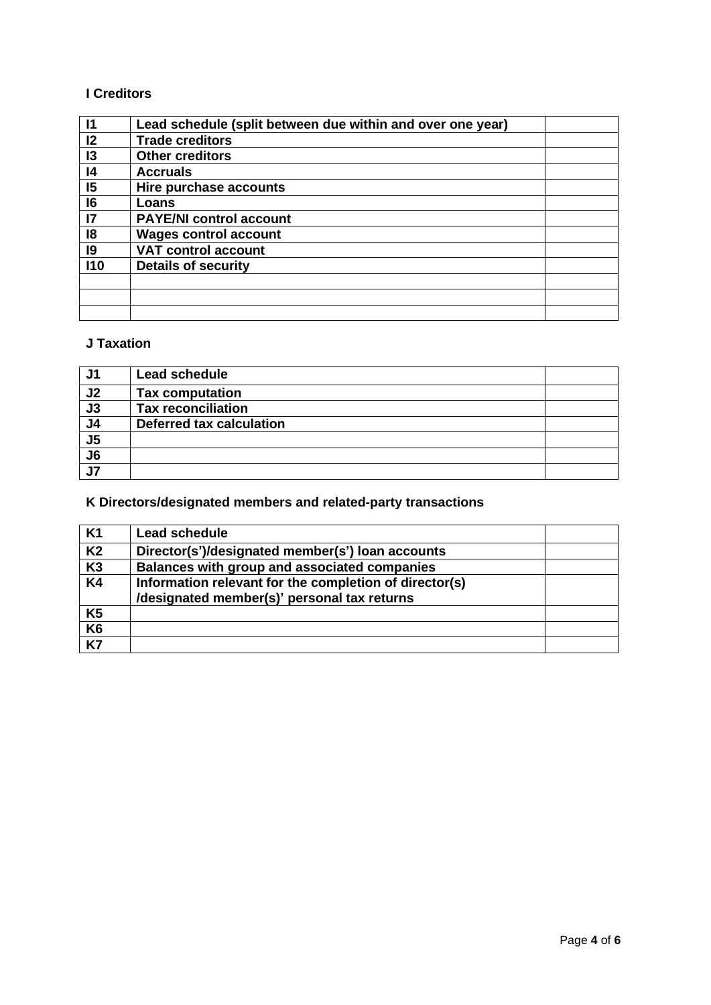### **I Creditors**

| $\mathsf{I}$    | Lead schedule (split between due within and over one year) |  |
|-----------------|------------------------------------------------------------|--|
| 12              | <b>Trade creditors</b>                                     |  |
| 13              | <b>Other creditors</b>                                     |  |
| 4               | <b>Accruals</b>                                            |  |
| 15              | Hire purchase accounts                                     |  |
| 16              | Loans                                                      |  |
| $\overline{17}$ | <b>PAYE/NI control account</b>                             |  |
| 18              | <b>Wages control account</b>                               |  |
| 9               | <b>VAT control account</b>                                 |  |
| 110             | <b>Details of security</b>                                 |  |
|                 |                                                            |  |
|                 |                                                            |  |
|                 |                                                            |  |

#### **J Taxation**

| .J1             | Lead schedule             |  |
|-----------------|---------------------------|--|
| J <sub>2</sub>  | <b>Tax computation</b>    |  |
| J3              | <b>Tax reconciliation</b> |  |
| J <sub>4</sub>  | Deferred tax calculation  |  |
| $rac{J5}{J6}$   |                           |  |
|                 |                           |  |
| $\overline{J7}$ |                           |  |

# **K Directors/designated members and related-party transactions**

| K1             | Lead schedule                                                                                         |  |
|----------------|-------------------------------------------------------------------------------------------------------|--|
| K <sub>2</sub> | Director(s')/designated member(s') loan accounts                                                      |  |
| K <sub>3</sub> | Balances with group and associated companies                                                          |  |
| K <sub>4</sub> | Information relevant for the completion of director(s)<br>/designated member(s)' personal tax returns |  |
| K <sub>5</sub> |                                                                                                       |  |
| K6             |                                                                                                       |  |
| $\overline{K}$ |                                                                                                       |  |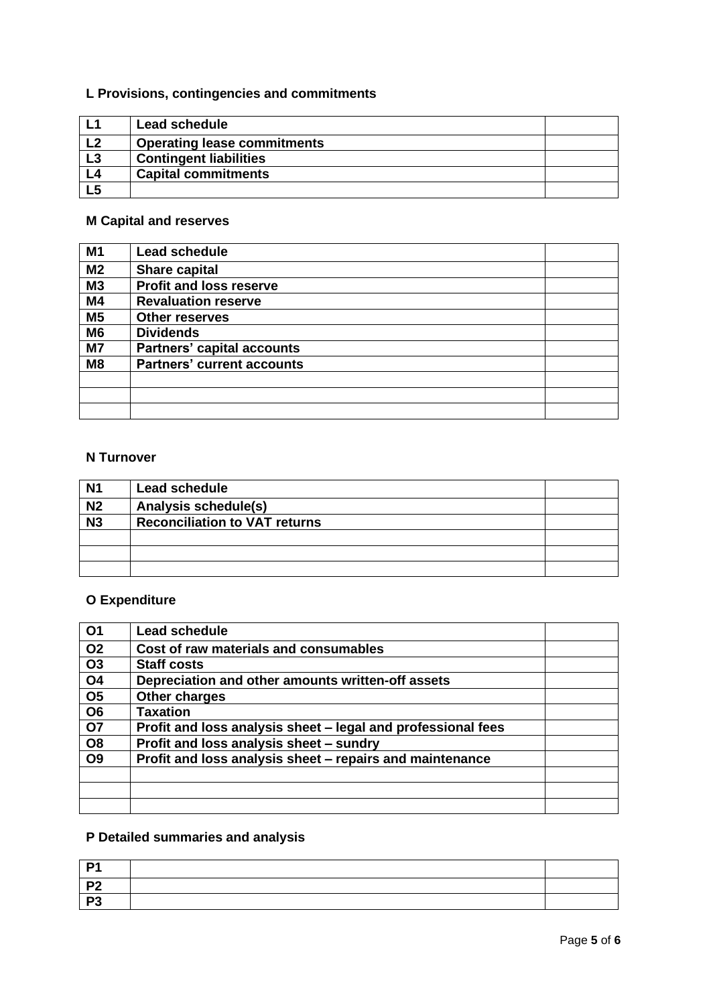# **L Provisions, contingencies and commitments**

| L1             | Lead schedule                      |  |
|----------------|------------------------------------|--|
| L <sub>2</sub> | <b>Operating lease commitments</b> |  |
| L3             | <b>Contingent liabilities</b>      |  |
| L4             | <b>Capital commitments</b>         |  |
| L <sub>5</sub> |                                    |  |

## **M Capital and reserves**

| M1             | <b>Lead schedule</b>              |  |
|----------------|-----------------------------------|--|
| M <sub>2</sub> | <b>Share capital</b>              |  |
| M3             | <b>Profit and loss reserve</b>    |  |
| <b>M4</b>      | <b>Revaluation reserve</b>        |  |
| M <sub>5</sub> | <b>Other reserves</b>             |  |
| M <sub>6</sub> | <b>Dividends</b>                  |  |
| M <sub>7</sub> | <b>Partners' capital accounts</b> |  |
| M <sub>8</sub> | <b>Partners' current accounts</b> |  |
|                |                                   |  |
|                |                                   |  |
|                |                                   |  |

### **N Turnover**

| <b>N1</b>       | Lead schedule                        |  |
|-----------------|--------------------------------------|--|
| N <sub>2</sub>  | Analysis schedule(s)                 |  |
| $\overline{N3}$ | <b>Reconciliation to VAT returns</b> |  |
|                 |                                      |  |
|                 |                                      |  |
|                 |                                      |  |

# **O Expenditure**

| Ο1             | Lead schedule                                                |  |
|----------------|--------------------------------------------------------------|--|
| <b>O2</b>      | Cost of raw materials and consumables                        |  |
| <b>O3</b>      | <b>Staff costs</b>                                           |  |
| <b>O4</b>      | Depreciation and other amounts written-off assets            |  |
| <b>O5</b>      | Other charges                                                |  |
| O <sub>6</sub> | <b>Taxation</b>                                              |  |
| <b>07</b>      | Profit and loss analysis sheet - legal and professional fees |  |
| O <sub>8</sub> | Profit and loss analysis sheet - sundry                      |  |
| <b>O9</b>      | Profit and loss analysis sheet - repairs and maintenance     |  |
|                |                                                              |  |
|                |                                                              |  |
|                |                                                              |  |

## **P Detailed summaries and analysis**

| D4       |  |
|----------|--|
| ூ        |  |
| D?<br>ت− |  |